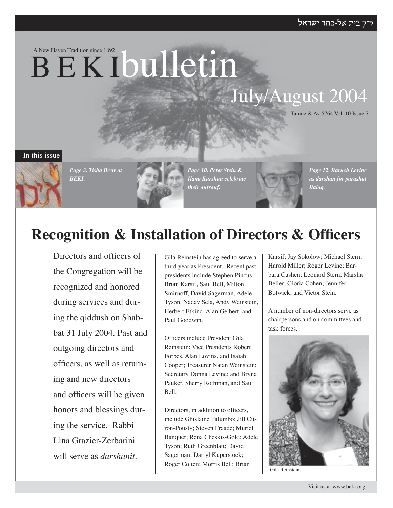A New Haven Tradition since 1892

# **BEKIbulletin**

## July/August 2004

Tamuz & Av 5764 Vol. 10 Issue 7

#### In this issue



*Page 3. Tisha BeAv at BEKI.*



*Page 10. Peter Stein & Ilana Kurshan celebrate their aufrauf.*



*Page 12, Baruch Levine as darshan for parashat Balaq.* 

## **Recognition & Installation of Directors & Officers**

Directors and officers of the Congregation will be recognized and honored during services and during the qiddush on Shabbat 31 July 2004. Past and outgoing directors and officers, as well as returning and new directors and officers will be given honors and blessings during the service. Rabbi Lina Grazier-Zerbarini will serve as *darshanit*.

Gila Reinstein has agreed to serve a third year as President. Recent pastpresidents include Stephen Pincus, Brian Karsif, Saul Bell, Milton Smirnoff, David Sagerman, Adele Tyson, Nadav Sela, Andy Weinstein, Herbert Etkind, Alan Gelbert, and Paul Goodwin.

Officers include President Gila Reinstein; Vice Presidents Robert Forbes, Alan Lovins, and Isaiah Cooper; Treasurer Natan Weinstein; Secretary Donna Levine; and Bryna Pauker, Sherry Rothman, and Saul Bell.

Directors, in addition to officers. include Ghislaine Palumbo; Jill Citron-Pousty; Steven Fraade; Muriel Banquer; Rena Cheskis-Gold; Adele Tyson; Ruth Greenblatt; David Sagerman; Darryl Kuperstock; Roger Colten; Morris Bell; Brian

Karsif; Jay Sokolow; Michael Stern; Harold Miller; Roger Levine; Barbara Cushen; Leonard Stern; Marsha Beller; Gloria Cohen; Jennifer Botwick; and Victor Stein.

A number of non-directors serve as chairpersons and on committees and task forces.



Gila Reinstein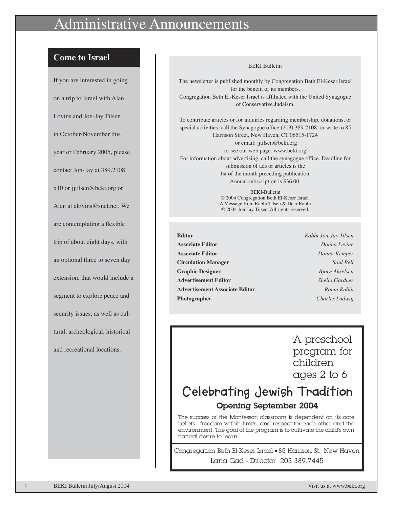## inistrative Announcements

#### **Come to Israel**

If you are interested in going on a trip to Israel with Alan Lovins and Jon-Jay Tilsen in October-November this year or February 2005, please contact Jon-Jay at 389.2108 x10 or jjtilsen@beki.org or Alan at alovins@snet.net. We are contemplating a flexible trip of about eight days, with an optional three to seven day extension, that would include a segment to explore peace and security issues, as well as cultural, archeological, historical and recreational locations.

#### BEKI Bulletin

The newsletter is published monthly by Congregation Beth El-Keser Israel for the benefit of its members. Congregation Beth El-Keser Israel is affiliated with the United Synagogue of Conservative Judaism.

To contribute articles or for inquiries regarding membership, donations, or special activities, call the Synagogue office (203) 389-2108, or write to 85 Harrison Street, New Haven, CT 06515-1724 or email: jjtilsen@beki.org or see our web page: www.beki.org For information about advertising, call the synagogue office. Deadline for submission of ads or articles is the 1st of the month preceding publication.

> BEKI-Bulletin © 2004 Congregation Beth El-Keser Israel. A Message from Rabbi Tilsen & Dear Rabbi © 2004 Jon-Jay Tilsen. All rights reserved.

Annual subscription is \$36.00.

**Editor** *Rabbi Jon-Jay Tilsen* **Associate Editor** *Donna Levine* **Associate Editor** *Donna Kemper* **Circulation Manager** *Saul Bell* **Graphic Designer** *Bjorn Akselsen* **Advertisement Editor** *Sheila Gardner* **Advertisement Associate Editor** *Ronni Rabin* **Photographer** *Charles Ludwig*

A preschool program for children ages 2 to 6

## **Celebrating Jewish Tradition** Opening September 2004

The success of the Montessori classroom is dependent on its core beliefs—freedom within limits, and respect for each other and the environment. The goal of the program is to cultivate the child's own natural desire to learn.

Congregation Beth El-Keser Israel • 85 Harrison St., New Haven Lana Gad - Director 203.389.7445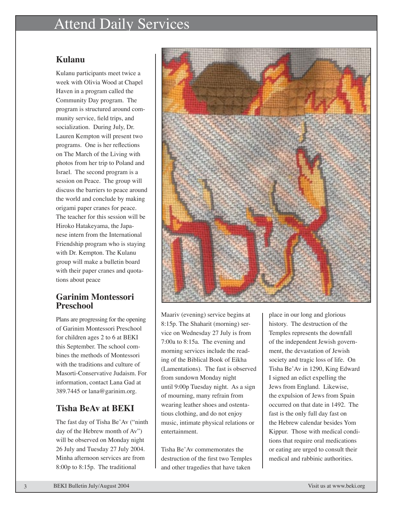## Attend Daily Services

#### **Kulanu**

Kulanu participants meet twice a week with Olivia Wood at Chapel Haven in a program called the Community Day program. The program is structured around community service, field trips, and socialization. During July, Dr. Lauren Kempton will present two programs. One is her reflections on The March of the Living with photos from her trip to Poland and Israel. The second program is a session on Peace. The group will discuss the barriers to peace around the world and conclude by making origami paper cranes for peace. The teacher for this session will be Hiroko Hatakeyama, the Japanese intern from the International Friendship program who is staying with Dr. Kempton. The Kulanu group will make a bulletin board with their paper cranes and quotations about peace

#### **Garinim Montessori Preschool**

Plans are progressing for the opening of Garinim Montessori Preschool for children ages 2 to 6 at BEKI this September. The school combines the methods of Montessori with the traditions and culture of Masorti-Conservative Judaism. For information, contact Lana Gad at 389.7445 or lana@garinim.org.

#### **Tisha BeAv at BEKI**

The fast day of Tisha Be'Av ("ninth day of the Hebrew month of Av") will be observed on Monday night 26 July and Tuesday 27 July 2004. Minha afternoon services are from 8:00p to 8:15p. The traditional



Maariv (evening) service begins at 8:15p. The Shaharit (morning) service on Wednesday 27 July is from 7:00a to 8:15a. The evening and morning services include the reading of the Biblical Book of Eikha (Lamentations). The fast is observed from sundown Monday night until 9:00p Tuesday night. As a sign of mourning, many refrain from wearing leather shoes and ostentatious clothing, and do not enjoy music, intimate physical relations or entertainment.

Tisha Be'Av commemorates the destruction of the first two Temples and other tragedies that have taken

place in our long and glorious history. The destruction of the Temples represents the downfall of the independent Jewish government, the devastation of Jewish society and tragic loss of life. On Tisha Be'Av in 1290, King Edward I signed an edict expelling the Jews from England. Likewise, the expulsion of Jews from Spain occurred on that date in 1492. The fast is the only full day fast on the Hebrew calendar besides Yom Kippur. Those with medical conditions that require oral medications or eating are urged to consult their medical and rabbinic authorities.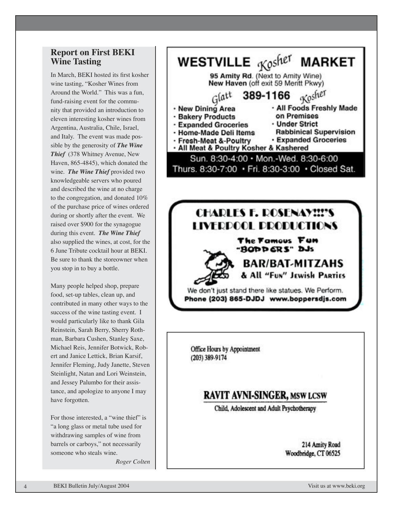#### **Report on First BEKI Wine Tasting**

In March, BEKI hosted its first kosher wine tasting, "Kosher Wines from Around the World." This was a fun, fund-raising event for the commu nity that provided an introduction to eleven interesting kosher wines from Argentina, Australia, Chile, Israel, and Italy. The event was made pos sible by the generosity of *The Wine Thief* (378 Whitney Avenue, New Haven, 865-4845), which donated the wine. *The Wine Thief* provided two knowledgeable servers who poured and described the wine at no charge to the congregation, and donated 10% of the purchase price of wines ordered during or shortly after the event. We raised over \$900 for the synagogue during this event. *The Wine Thief* also supplied the wines, at cost, for the 6 June Tribute cocktail hour at BEKI. Be sure to thank the storeowner when you stop in to buy a bottle.

Many people helped shop, prepare food, set-up tables, clean up, and contributed in many other ways to the success of the wine tasting event. I would particularly like to thank Gila Reinstein, Sarah Berry, Sherry Roth man, Barbara Cushen, Stanley Saxe, Michael Reis, Jennifer Botwick, Rob ert and Janice Lettick, Brian Karsif, Jennifer Fleming, Judy Janette, Steven Steinlight, Natan and Lori Weinstein, and Jessey Palumbo for their assis tance, and apologize to anyone I may have forgotten.

For those interested, a "wine thief" is "a long glass or metal tube used for withdrawing samples of wine from barrels or carboys," not necessarily someone who steals wine.

*Roger Colten*



Child, Adolescent and Adult Psychotherapy

214 Amity Road Woodbridge, CT 06525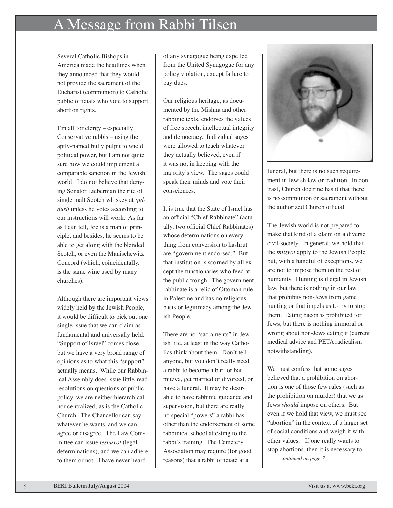## **Message from Rabbi Tilsen**

Several Catholic Bishops in America made the headlines when they announced that they would not provide the sacrament of the Eucharist (communion) to Catholic public officials who vote to support abortion rights.

I'm all for clergy – especially Conservative rabbis – using the aptly-named bully pulpit to wield political power, but I am not quite sure how we could implement a comparable sanction in the Jewish world. I do not believe that denying Senator Lieberman the rite of single malt Scotch whiskey at *qiddush* unless he votes according to our instructions will work. As far as I can tell, Joe is a man of principle, and besides, he seems to be able to get along with the blended Scotch, or even the Manischewitz Concord (which, coincidentally, is the same wine used by many churches).

Although there are important views widely held by the Jewish People, it would be difficult to pick out one single issue that we can claim as fundamental and universally held. "Support of Israel" comes close, but we have a very broad range of opinions as to what this "support" actually means. While our Rabbinical Assembly does issue little-read resolutions on questions of public policy, we are neither hierarchical nor centralized, as is the Catholic Church. The Chancellor can say whatever he wants, and we can agree or disagree. The Law Committee can issue *teshuvot* (legal determinations), and we can adhere to them or not. I have never heard

of any synagogue being expelled from the United Synagogue for any policy violation, except failure to pay dues.

Our religious heritage, as documented by the Mishna and other rabbinic texts, endorses the values of free speech, intellectual integrity and democracy. Individual sages were allowed to teach whatever they actually believed, even if it was not in keeping with the majority's view. The sages could speak their minds and vote their consciences.

It is true that the State of Israel has an official "Chief Rabbinate" (actually, two official Chief Rabbinates) whose determinations on everything from conversion to kashrut are "government endorsed." But that institution is scorned by all except the functionaries who feed at the public trough. The government rabbinate is a relic of Ottoman rule in Palestine and has no religious basis or legitimacy among the Jewish People.

There are no "sacraments" in Jewish life, at least in the way Catholics think about them. Don't tell anyone, but you don't really need a rabbi to become a bar- or batmitzva, get married or divorced, or have a funeral. It may be desirable to have rabbinic guidance and supervision, but there are really no special "powers" a rabbi has other than the endorsement of some rabbinical school attesting to the rabbi's training. The Cemetery Association may require (for good reasons) that a rabbi officiate at a



funeral, but there is no such requirement in Jewish law or tradition. In contrast, Church doctrine has it that there is no communion or sacrament without the authorized Church official.

The Jewish world is not prepared to make that kind of a claim on a diverse civil society. In general, we hold that the *mitzvot* apply to the Jewish People but, with a handful of exceptions, we are not to impose them on the rest of humanity. Hunting is illegal in Jewish law, but there is nothing in our law that prohibits non-Jews from game hunting or that impels us to try to stop them. Eating bacon is prohibited for Jews, but there is nothing immoral or wrong about non-Jews eating it (current medical advice and PETA radicalism notwithstanding).

We must confess that some sages believed that a prohibition on abortion is one of those few rules (such as the prohibition on murder) that we as Jews *should* impose on others. But even if we hold that view, we must see "abortion" in the context of a larger set of social conditions and weigh it with other values. If one really wants to stop abortions, then it is necessary to *continued on page 7*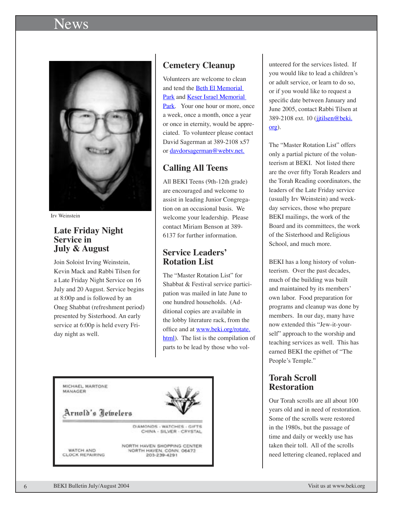## ews



Irv Weinstein

#### **Late Friday Night Service in July & August**

Join Soloist Irving Weinstein, Kevin Mack and Rabbi Tilsen for a Late Friday Night Service on 16 July and 20 August. Service begins at 8:00p and is followed by an Oneg Shabbat (refreshment period) presented by Sisterhood. An early service at 6:00p is held every Friday night as well.

#### **Cemetery Cleanup**

Volunteers are welcome to clean and tend the Beth El Memorial Park and Keser Israel Memorial Park. Your one hour or more, once a week, once a month, once a year or once in eternity, would be appreciated. To volunteer please contact David Sagerman at 389-2108 x57 or davdorsagerman@webtv.net.

#### **Calling All Teens**

All BEKI Teens (9th-12th grade) are encouraged and welcome to assist in leading Junior Congregation on an occasional basis. We welcome your leadership. Please contact Miriam Benson at 389- 6137 for further information.

#### **Service Leaders' Rotation List**

The "Master Rotation List" for Shabbat & Festival service participation was mailed in late June to one hundred households. (Additional copies are available in the lobby literature rack, from the office and at www.beki.org/rotate. html). The list is the compilation of parts to be lead by those who vol-

MICHAEL MARTONE MANAGER

Arnold's Jewelers



DIAMONDS - WATCHES - GIFTS CHINA - SILVER - CRYSTAL

WATCH AND CLOCK REPAIRING NORTH HAVEN SHOPPING CENTER NORTH HAVEN, CONN. 06473

203-239-4291

unteered for the services listed. If you would like to lead a children's or adult service, or learn to do so, or if you would like to request a specific date between January and June 2005, contact Rabbi Tilsen at 389-2108 ext. 10 (jjtilsen@beki. org).

The "Master Rotation List" offers only a partial picture of the volunteerism at BEKI. Not listed there are the over fifty Torah Readers and the Torah Reading coordinators, the leaders of the Late Friday service (usually Irv Weinstein) and weekday services, those who prepare BEKI mailings, the work of the Board and its committees, the work of the Sisterhood and Religious School, and much more.

BEKI has a long history of volunteerism. Over the past decades, much of the building was built and maintained by its members' own labor. Food preparation for programs and cleanup was done by members. In our day, many have now extended this "Jew-it-yourself" approach to the worship and teaching services as well. This has earned BEKI the epithet of "The People's Temple."

#### **Torah Scroll Restoration**

Our Torah scrolls are all about 100 years old and in need of restoration. Some of the scrolls were restored in the 1980s, but the passage of time and daily or weekly use has taken their toll. All of the scrolls need lettering cleaned, replaced and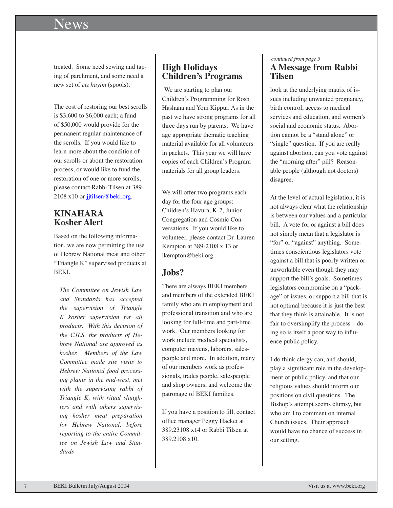## News

treated. Some need sewing and taping of parchment, and some need a new set of *etz hayim* (spools).

The cost of restoring our best scrolls is \$3,600 to \$6,000 each; a fund of \$50,000 would provide for the permanent regular maintenance of the scrolls. If you would like to learn more about the condition of our scrolls or about the restoration process, or would like to fund the restoration of one or more scrolls, please contact Rabbi Tilsen at 389- 2108 x10 or jitilsen@beki.org.

#### **KINAHARA Kosher Alert**

Based on the following information, we are now permitting the use of Hebrew National meat and other "Triangle K" supervised products at BEKI.

*The Committee on Jewish Law and Standards has accepted the supervision of Triangle K kosher supervision for all products. With this decision of the CJLS, the products of Hebrew National are approved as kosher. Members of the Law Committee made site visits to Hebrew National food processing plants in the mid-west, met with the supervising rabbi of Triangle K, with ritual slaughters and with others supervising kosher meat preparation for Hebrew National, before reporting to the entire Committee on Jewish Law and Standards*

#### **High Holidays Children's Programs**

We are starting to plan our Children's Programming for Rosh Hashana and Yom Kippur. As in the past we have strong programs for all three days run by parents. We have age appropriate thematic teaching material available for all volunteers in packets. This year we will have copies of each Children's Program materials for all group leaders.

We will offer two programs each day for the four age groups: Children's Havura, K-2, Junior Congregation and Cosmic Conversations. If you would like to volunteer, please contact Dr. Lauren Kempton at 389-2108 x 13 or lkempton@beki.org.

#### **Jobs?**

There are always BEKI members and members of the extended BEKI family who are in employment and professional transition and who are looking for full-time and part-time work. Our members looking for work include medical specialists, computer mavens, laborers, salespeople and more. In addition, many of our members work as professionals, trades people, salespeople and shop owners, and welcome the patronage of BEKI families.

If you have a position to fill, contact office manager Peggy Hacket at 389.23108 x14 or Rabbi Tilsen at 389.2108 x10.

#### **A Message from Rabbi Tilsen** *continued from page 5*

look at the underlying matrix of issues including unwanted pregnancy, birth control, access to medical services and education, and women's social and economic status. Abortion cannot be a "stand alone" or "single" question. If you are really against abortion, can you vote against the "morning after" pill? Reasonable people (although not doctors) disagree.

At the level of actual legislation, it is not always clear what the relationship is between our values and a particular bill. A vote for or against a bill does not simply mean that a legislator is "for" or "against" anything. Sometimes conscientious legislators vote against a bill that is poorly written or unworkable even though they may support the bill's goals. Sometimes legislators compromise on a "package" of issues, or support a bill that is not optimal because it is just the best that they think is attainable. It is not fair to oversimplify the process – doing so is itself a poor way to influence public policy.

I do think clergy can, and should, play a significant role in the development of public policy, and that our religious values should inform our positions on civil questions. The Bishop's attempt seems clumsy, but who am I to comment on internal Church issues. Their approach would have no chance of success in our setting.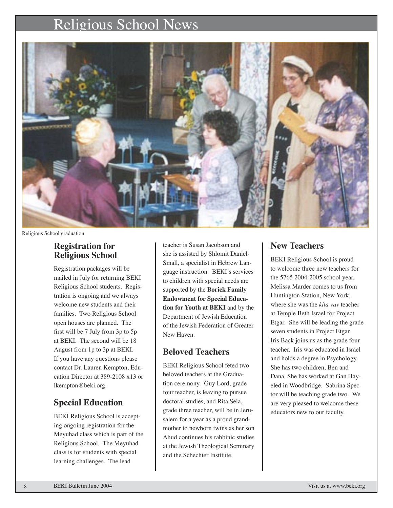## Religious School News



Religious School graduation

#### **Registration for Religious School**

Registration packages will be mailed in July for returning BEKI Religious School students. Registration is ongoing and we always welcome new students and their families. Two Religious School open houses are planned. The first will be 7 July from 3p to 5p at BEKI. The second will be 18 August from 1p to 3p at BEKI. If you have any questions please contact Dr. Lauren Kempton, Education Director at 389-2108 x13 or lkempton@beki.org.

#### **Special Education**

BEKI Religious School is accepting ongoing registration for the Meyuhad class which is part of the Religious School. The Meyuhad class is for students with special learning challenges. The lead

teacher is Susan Jacobson and she is assisted by Shlomit Daniel-Small, a specialist in Hebrew Language instruction. BEKI's services to children with special needs are supported by the **Borick Family Endowment for Special Education for Youth at BEKI** and by the Department of Jewish Education of the Jewish Federation of Greater New Haven.

#### **Beloved Teachers**

BEKI Religious School feted two beloved teachers at the Graduation ceremony. Guy Lord, grade four teacher, is leaving to pursue doctoral studies, and Rita Sela, grade three teacher, will be in Jerusalem for a year as a proud grandmother to newborn twins as her son Ahud continues his rabbinic studies at the Jewish Theological Seminary and the Schechter Institute.

#### **New Teachers**

BEKI Religious School is proud to welcome three new teachers for the 5765 2004-2005 school year. Melissa Marder comes to us from Huntington Station, New York, where she was the *kita vav* teacher at Temple Beth Israel for Project Etgar. She will be leading the grade seven students in Project Etgar. Iris Back joins us as the grade four teacher. Iris was educated in Israel and holds a degree in Psychology. She has two children, Ben and Dana. She has worked at Gan Hayeled in Woodbridge. Sabrina Spector will be teaching grade two. We are very pleased to welcome these educators new to our faculty.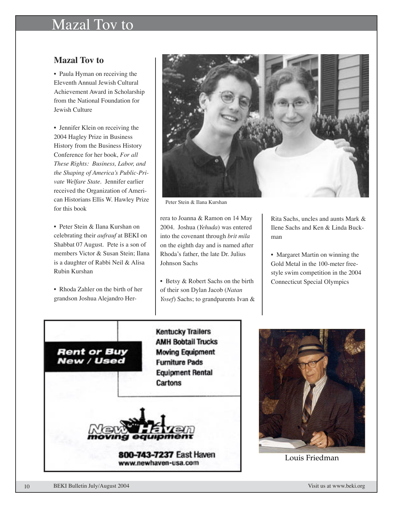## Mazal Tov to

#### **Mazal Tov to**

• Paula Hyman on receiving the Eleventh Annual Jewish Cultural Achievement Award in Scholarship from the National Foundation for Jewish Culture

• Jennifer Klein on receiving the 2004 Hagley Prize in Business History from the Business History Conference for her book, *For all These Rights: Business, Labor, and the Shaping of America's Public-Private Welfare State*. Jennifer earlier received the Organization of American Historians Ellis W. Hawley Prize for this book

• Peter Stein & Ilana Kurshan on celebrating their *aufrauf* at BEKI on Shabbat 07 August. Pete is a son of members Victor & Susan Stein; Ilana is a daughter of Rabbi Neil & Alisa Rubin Kurshan

• Rhoda Zahler on the birth of her grandson Joshua Alejandro Her-



Peter Stein & Ilana Kurshan

rera to Joanna & Ramon on 14 May 2004. Joshua (*Yehuda*) was entered into the covenant through *brit mila* on the eighth day and is named after Rhoda's father, the late Dr. Julius Johnson Sachs

• Betsy & Robert Sachs on the birth of their son Dylan Jacob (*Natan Yosef*) Sachs; to grandparents Ivan & Rita Sachs, uncles and aunts Mark & Ilene Sachs and Ken & Linda Buckman

• Margaret Martin on winning the Gold Metal in the 100-meter freestyle swim competition in the 2004 Connecticut Special Olympics

**Rent or Buy New / Used** 

**Kentucky Trailers AMH Bobtail Trucks Moving Equipment Furniture Pads Equipment Rental** Cartons



800-743-7237 East Haven www.newhaven-usa.com



Louis Friedman

10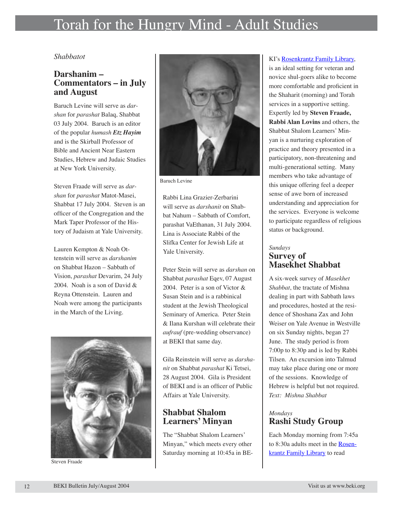## Torah for the Hungry Mind - Adult Studies

#### *Shabbatot*

#### **Darshanim – Commentators – in July and August**

Baruch Levine will serve as *darshan* for *parashat* Balaq, Shabbat 03 July 2004. Baruch is an editor of the popular *humash Etz Hayim* and is the Skirball Professor of Bible and Ancient Near Eastern Studies, Hebrew and Judaic Studies at New York University.

Steven Fraade will serve as *darshan* for *parashat* Matot-Masei, Shabbat 17 July 2004. Steven is an officer of the Congregation and the Mark Taper Professor of the History of Judaism at Yale University.

Lauren Kempton & Noah Ottenstein will serve as *darshanim* on Shabbat Hazon – Sabbath of Vision, *parashat* Devarim, 24 July 2004. Noah is a son of David & Reyna Ottenstein. Lauren and Noah were among the participants in the March of the Living.



Steven Fraade

12



Baruch Levine

Rabbi Lina Grazier-Zerbarini will serve as *darshanit* on Shabbat Nahum – Sabbath of Comfort, parashat VaEthanan, 31 July 2004. Lina is Associate Rabbi of the Slifka Center for Jewish Life at Yale University.

Peter Stein will serve as *darshan* on Shabbat *parashat* Eqev, 07 August 2004. Peter is a son of Victor & Susan Stein and is a rabbinical student at the Jewish Theological Seminary of America. Peter Stein & Ilana Kurshan will celebrate their *aufrauf* (pre-wedding observance) at BEKI that same day.

Gila Reinstein will serve as *darshanit* on Shabbat *parashat* Ki Tetsei, 28 August 2004. Gila is President of BEKI and is an officer of Public Affairs at Yale University.

#### **Shabbat Shalom Learners' Minyan**

The "Shabbat Shalom Learners' Minyan," which meets every other Saturday morning at 10:45a in BE-

KI's Rosenkrantz Family Library, is an ideal setting for veteran and novice shul-goers alike to become more comfortable and proficient in the Shaharit (morning) and Torah services in a supportive setting. Expertly led by **Steven Fraade, Rabbi Alan Lovins** and others, the Shabbat Shalom Learners' Minyan is a nurturing exploration of practice and theory presented in a participatory, non-threatening and multi-generational setting. Many members who take advantage of this unique offering feel a deeper sense of awe born of increased understanding and appreciation for the services. Everyone is welcome to participate regardless of religious status or background.

#### *Sundays* **Survey of Masekhet Shabbat**

A six-week survey of *Masekhet Shabbat*, the tractate of Mishna dealing in part with Sabbath laws and procedures, hosted at the residence of Shoshana Zax and John Weiser on Yale Avenue in Westville on six Sunday nights, began 27 June. The study period is from 7:00p to 8:30p and is led by Rabbi Tilsen. An excursion into Talmud may take place during one or more of the sessions. Knowledge of Hebrew is helpful but not required. *Text: Mishna Shabbat*

#### *Mondays* **Rashi Study Group**

Each Monday morning from 7:45a to 8:30a adults meet in the Rosenkrantz Family Library to read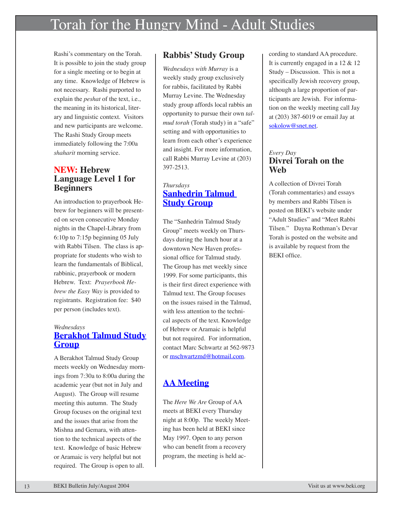## Torah for the Hungry Mind - Adult Studies

Rashi's commentary on the Torah. It is possible to join the study group for a single meeting or to begin at any time. Knowledge of Hebrew is not necessary. Rashi purported to explain the *peshat* of the text, i.e., the meaning in its historical, literary and linguistic context. Visitors and new participants are welcome. The Rashi Study Group meets immediately following the 7:00a *shaharit* morning service.

#### **NEW: Hebrew Language Level 1 for Beginners**

An introduction to prayerbook Hebrew for beginners will be presented on seven consecutive Monday nights in the Chapel-Library from 6:10p to 7:15p beginning 05 July with Rabbi Tilsen. The class is appropriate for students who wish to learn the fundamentals of Biblical, rabbinic, prayerbook or modern Hebrew. Text: *Prayerbook Hebrew the Easy Way* is provided to registrants. Registration fee: \$40 per person (includes text).

#### *Wednesdays* **Berakhot Talmud Study Group**

A Berakhot Talmud Study Group meets weekly on Wednesday mornings from 7:30a to 8:00a during the academic year (but not in July and August). The Group will resume meeting this autumn. The Study Group focuses on the original text and the issues that arise from the Mishna and Gemara, with attention to the technical aspects of the text. Knowledge of basic Hebrew or Aramaic is very helpful but not required. The Group is open to all.

#### **Rabbis' Study Group**

*Wednesdays with Murray* is a weekly study group exclusively for rabbis, facilitated by Rabbi Murray Levine. The Wednesday study group affords local rabbis an opportunity to pursue their own *talmud torah* (Torah study) in a "safe" setting and with opportunities to learn from each other's experience and insight. For more information, call Rabbi Murray Levine at (203) 397-2513.

#### *Thursdays* **Sanhedrin Talmud Study Group**

The "Sanhedrin Talmud Study Group" meets weekly on Thursdays during the lunch hour at a downtown New Haven professional office for Talmud study. The Group has met weekly since 1999. For some participants, this is their first direct experience with Talmud text. The Group focuses on the issues raised in the Talmud, with less attention to the technical aspects of the text. Knowledge of Hebrew or Aramaic is helpful but not required. For information, contact Marc Schwartz at 562-9873 or mschwartzmd@hotmail.com.

#### **AA Meeting**

The *Here We Are* Group of AA meets at BEKI every Thursday night at 8:00p. The weekly Meeting has been held at BEKI since May 1997. Open to any person who can benefit from a recovery program, the meeting is held according to standard AA procedure. It is currently engaged in a 12 & 12 Study – Discussion. This is not a specifically Jewish recovery group, although a large proportion of participants are Jewish. For information on the weekly meeting call Jay at (203) 387-6019 or email Jay at sokolow@snet.net.

#### *Every Day* **Divrei Torah on the Web**

A collection of Divrei Torah (Torah commentaries) and essays by members and Rabbi Tilsen is posted on BEKI's website under "Adult Studies" and "Meet Rabbi Tilsen." Dayna Rothman's Devar Torah is posted on the website and is available by request from the BEKI office.

13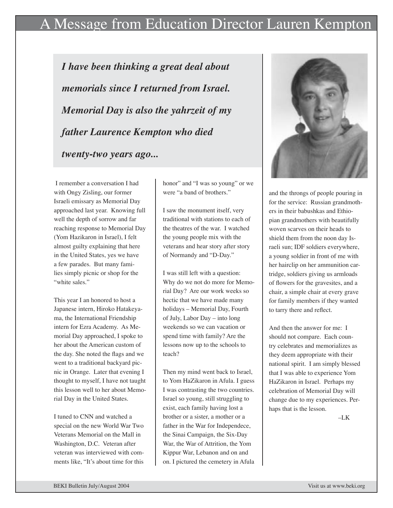## A Message from Education Director Lauren Kempton

*I have been thinking a great deal about memorials since I returned from Israel. Memorial Day is also the yahrzeit of my father Laurence Kempton who died twenty-two years ago...*



 I remember a conversation I had with Ongy Zisling, our former Israeli emissary as Memorial Day approached last year. Knowing full well the depth of sorrow and far reaching response to Memorial Day (Yom Hazikaron in Israel), I felt almost guilty explaining that here in the United States, yes we have a few parades. But many families simply picnic or shop for the "white sales."

This year I an honored to host a Japanese intern, Hiroko Hatakeyama, the International Friendship intern for Ezra Academy. As Memorial Day approached, I spoke to her about the American custom of the day. She noted the flags and we went to a traditional backyard picnic in Orange. Later that evening I thought to myself, I have not taught this lesson well to her about Memorial Day in the United States.

I tuned to CNN and watched a special on the new World War Two Veterans Memorial on the Mall in Washington, D.C. Veteran after veteran was interviewed with comments like, "It's about time for this honor" and "I was so young" or we were "a band of brothers."

I saw the monument itself, very traditional with stations to each of the theatres of the war. I watched the young people mix with the veterans and hear story after story of Normandy and "D-Day."

I was still left with a question: Why do we not do more for Memorial Day? Are our work weeks so hectic that we have made many holidays – Memorial Day, Fourth of July, Labor Day – into long weekends so we can vacation or spend time with family? Are the lessons now up to the schools to teach?

Then my mind went back to Israel, to Yom HaZikaron in Afula. I guess I was contrasting the two countries. Israel so young, still struggling to exist, each family having lost a brother or a sister, a mother or a father in the War for Independece, the Sinai Campaign, the Six-Day War, the War of Attrition, the Yom Kippur War, Lebanon and on and on. I pictured the cemetery in Afula

and the throngs of people pouring in for the service: Russian grandmothers in their babushkas and Ethiopian grandmothers with beautifully woven scarves on their heads to shield them from the noon day Israeli sun; IDF soldiers everywhere, a young soldier in front of me with her hairclip on her ammunition cartridge, soldiers giving us armloads of flowers for the gravesites, and a chair, a simple chair at every grave for family members if they wanted to tarry there and reflect.

And then the answer for me: I should not compare. Each country celebrates and memorializes as they deem appropriate with their national spirit. I am simply blessed that I was able to experience Yom HaZikaron in Israel. Perhaps my celebration of Memorial Day will change due to my experiences. Perhaps that is the lesson.

–LK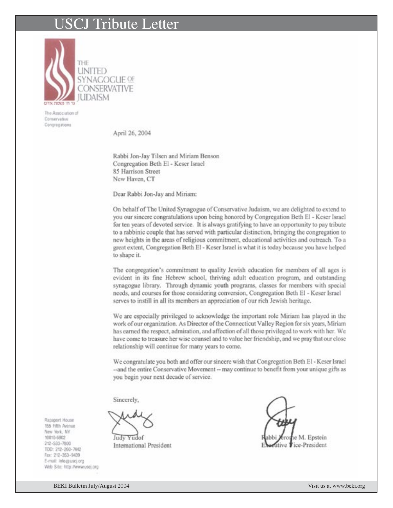## Tribute Letter



THE UNITED SYNAGOGUE OF CONSERVATIVE **IUDAISM** 

The Association of Conservative Congregations

April 26, 2004

Rabbi Jon-Jay Tilsen and Miriam Benson Congregation Beth El - Keser Israel 85 Harrison Street New Haven, CT

Dear Rabbi Jon-Jay and Miriam:

On behalf of The United Synagogue of Conservative Judaism, we are delighted to extend to you our sincere congratulations upon being honored by Congregation Beth El - Keser Israel for ten years of devoted service. It is always gratifying to have an opportunity to pay tribute to a rabbinic couple that has served with particular distinction, bringing the congregation to new heights in the areas of religious commitment, educational activities and outreach. To a great extent, Congregation Beth El - Keser Israel is what it is today because you have helped to shape it.

The congregation's commitment to quality Jewish education for members of all ages is evident in its fine Hebrew school, thriving adult education program, and outstanding synagogue library. Through dynamic youth programs, classes for members with special needs, and courses for those considering conversion, Congregation Beth El - Keser Israel serves to instill in all its members an appreciation of our rich Jewish heritage.

We are especially privileged to acknowledge the important role Miriam has played in the work of our organization. As Director of the Connecticut Valley Region for six years, Miriam has earned the respect, admiration, and affection of all those privileged to work with her. We have come to treasure her wise counsel and to value her friendship, and we pray that our close relationship will continue for many years to come.

We congratulate you both and offer our sincere wish that Congregation Beth El-Keser Israel -- and the entire Conservative Movement -- may continue to benefit from your unique gifts as you begin your next decade of service.

Sincerely,

Yudof Judy

International President

M. Epstein Vice-President

TDD: 212-260-7442 Fax: 212-353-9439 E-mail: info@usci.org Web Site: http://www.uscj.org

Rapagert House 155 Fifth Avenue New York, NY

10010-6802

212-533-7800

BEKI Bulletin July/August 2004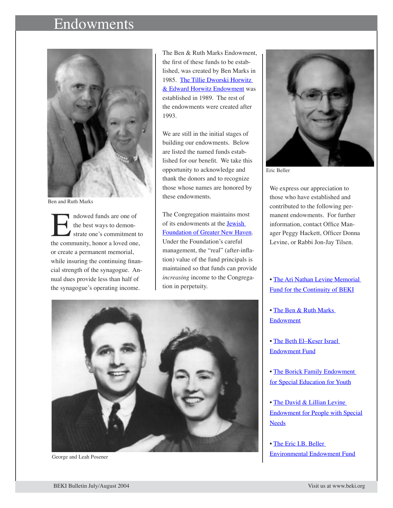## Endowments Endowments



Ben and Ruth Marks

Indowed funds are one of<br>the best ways to demon-<br>strate one's commitment to<br>the community, honor a loved one, the best ways to demonstrate one's commitment to or create a permanent memorial, while insuring the continuing financial strength of the synagogue. Annual dues provide less than half of the synagogue's operating income.

The Ben & Ruth Marks Endowment, the first of these funds to be established, was created by Ben Marks in 1985. The Tillie Dworski Horwitz & Edward Horwitz Endowment was established in 1989. The rest of the endowments were created after 1993.

We are still in the initial stages of building our endowments. Below are listed the named funds established for our benefit. We take this opportunity to acknowledge and thank the donors and to recognize those whose names are honored by these endowments.

The Congregation maintains most of its endowments at the Jewish Foundation of Greater New Haven. Under the Foundation's careful management, the "real" (after-inflation) value of the fund principals is maintained so that funds can provide *increasing* income to the Congregation in perpetuity.



Eric Beller

We express our appreciation to those who have established and contributed to the following permanent endowments. For further information, contact Office Manager Peggy Hackett, Officer Donna Levine, or Rabbi Jon-Jay Tilsen.

• The Ari Nathan Levine Memorial Fund for the Continuity of BEKI

• The Ben & Ruth Marks Endowment

• The Beth El–Keser Israel Endowment Fund

• The Borick Family Endowment for Special Education for Youth

• The David & Lillian Levine Endowment for People with Special **Needs** 

• The Eric I.B. Beller Environmental Endowment Fund



George and Leah Posener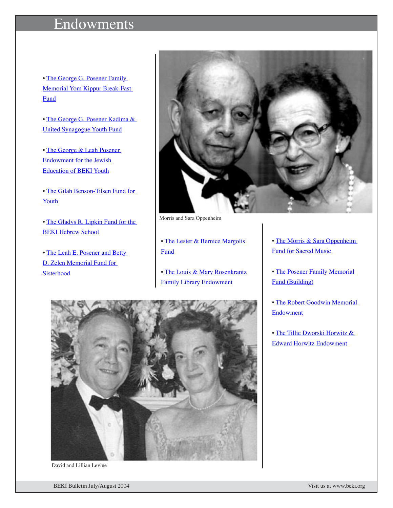## Endowments

• The George G. Posener Family Memorial Yom Kippur Break-Fast **Fund** 

• The George G. Posener Kadima & United Synagogue Youth Fund

• The George & Leah Posener Endowment for the Jewish Education of BEKI Youth

• The Gilah Benson-Tilsen Fund for Youth

• The Gladys R. Lipkin Fund for the **BEKI Hebrew School** 

• The Leah E. Posener and Betty D. Zelen Memorial Fund for Sisterhood



Morris and Sara Oppenheim

• The Lester & Bernice Margolis Fund

• The Louis & Mary Rosenkrantz Family Library Endowment

• The Morris & Sara Oppenheim Fund for Sacred Music

- The Posener Family Memorial Fund (Building)
- The Robert Goodwin Memorial **Endowment**

• The Tillie Dworski Horwitz & Edward Horwitz Endowment



David and Lillian Levine

BEKI Bulletin July/August 2004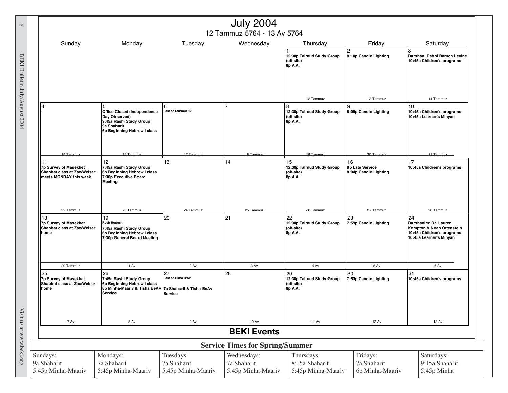| <b>July 2004</b><br>12 Tammuz 5764 - 13 Av 5764                                      |                                                                                                                                   |                                                |                                                  |                                                          |                                                |                                                                                                                   |  |  |  |  |  |
|--------------------------------------------------------------------------------------|-----------------------------------------------------------------------------------------------------------------------------------|------------------------------------------------|--------------------------------------------------|----------------------------------------------------------|------------------------------------------------|-------------------------------------------------------------------------------------------------------------------|--|--|--|--|--|
| Sunday                                                                               | Monday                                                                                                                            | Tuesday                                        | Wednesday                                        | Thursday                                                 | Friday                                         | Saturday                                                                                                          |  |  |  |  |  |
|                                                                                      |                                                                                                                                   |                                                |                                                  | 12:30p Talmud Study Group<br>(off-site)<br>8p A.A.       | 8:10p Candle Lighting                          | 3<br>Darshan: Rabbi Baruch Levine<br>10:45a Children's programs                                                   |  |  |  |  |  |
|                                                                                      |                                                                                                                                   |                                                |                                                  | 12 Tammuz                                                | 13 Tammuz                                      | 14 Tammuz                                                                                                         |  |  |  |  |  |
| 4                                                                                    | 5<br><b>Office Closed (Independence</b><br>Day Observed)<br>9:45a Rashi Study Group<br>9a Shaharit<br>6p Beginning Hebrew I class | 6<br>Fast of Tammuz 17                         |                                                  | 8<br>12:30p Talmud Study Group<br>(off-site)<br>8p A.A.  | g<br>8:08p Candle Lighting                     | 10<br>10:45a Children's programs<br>10:45a Learner's Minyan                                                       |  |  |  |  |  |
| <b>15 Tammuz</b>                                                                     | <b>16 Tammuz</b>                                                                                                                  | 17 Tammuz                                      | <b>18 Tammuz</b>                                 | 19 Tammuz                                                | 20 Tammuz                                      | 21 Tammuz                                                                                                         |  |  |  |  |  |
| 11<br>7p Survey of Masekhet<br>Shabbat class at Zax/Weiser<br>meets MONDAY this week | 12<br>7:45a Rashi Study Group<br>6p Beginning Hebrew I class<br>7:30p Executive Board<br><b>Meeting</b>                           | 13                                             | 14                                               | 15<br>12:30p Talmud Study Group<br>(off-site)<br>8p A.A. | 16<br>8p Late Service<br>8:04p Candle Lighting | 17<br>10:45a Children's programs                                                                                  |  |  |  |  |  |
| 22 Tammuz                                                                            | 23 Tammuz                                                                                                                         | 24 Tammuz                                      | 25 Tammuz                                        | 26 Tammuz                                                | 27 Tammuz                                      | 28 Tammuz                                                                                                         |  |  |  |  |  |
| 18<br>7p Survey of Masekhet<br>Shabbat class at Zax/Weiser<br>home                   | 19<br><b>Rosh Hodesh</b><br>7:45a Rashi Study Group<br>6p Beginning Hebrew I class<br>7:30p General Board Meeting                 | 20                                             | 21                                               | 22<br>12:30p Talmud Study Group<br>(off-site)<br>8p A.A. | 23<br>7:59p Candle Lighting                    | 24<br>Darshanim: Dr. Lauren<br>Kempton & Noah Ottenstein<br>10:45a Children's programs<br>10:45a Learner's Minyan |  |  |  |  |  |
| 29 Tammuz                                                                            | 1 Av                                                                                                                              | 2 Av                                           | 3 Av                                             | 4 Av                                                     | 5 Av                                           | 6 Av                                                                                                              |  |  |  |  |  |
| 25<br>7p Survey of Masekhat<br>Shabbat class at Zax/Weiser<br>home                   | 26<br>7:45a Rashi Study Group<br>6p Beginning Hebrew I class<br>8p Minha-Maariv & Tisha BeAv 7a Shaharit & Tisha BeAv<br>Service  | 27<br>Fast of Tisha B'Av<br>Service            | 28                                               | 29<br>12:30p Talmud Study Group<br>(off-site)<br>8p A.A. | 30<br>7:53p Candle Lighting                    | 31<br>10:45a Children's programs                                                                                  |  |  |  |  |  |
| 7 Av                                                                                 | 8 Av                                                                                                                              | 9 Av                                           | 10 Av                                            | <b>11 Av</b>                                             | <b>12 Av</b>                                   | 13 Av                                                                                                             |  |  |  |  |  |
|                                                                                      |                                                                                                                                   |                                                | <b>BEKI Events</b>                               |                                                          |                                                |                                                                                                                   |  |  |  |  |  |
|                                                                                      | <b>Service Times for Spring/Summer</b>                                                                                            |                                                |                                                  |                                                          |                                                |                                                                                                                   |  |  |  |  |  |
| Sundays:<br>9a Shaharit<br>5:45p Minha-Maariv                                        | Mondays:<br>7a Shaharit<br>5:45p Minha-Maariv                                                                                     | Tuesdays:<br>7a Shaharit<br>5:45p Minha-Maariv | Wednesdays:<br>7a Shaharit<br>5:45p Minha-Maariv | Thursdays:<br>8:15a Shaharit<br>5:45p Minha-Maariv       | Fridays:<br>7a Shaharit<br>6p Minha-Maariv     | Saturdays:<br>9:15a Shaharit<br>5:45p Minha                                                                       |  |  |  |  |  |

Visit us at  $\operatorname{www.beki.org}$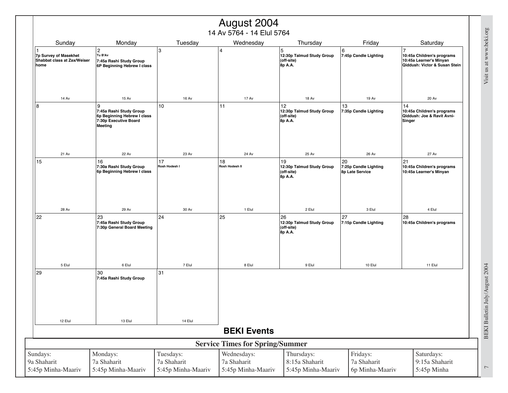| August 2004<br>14 Av 5764 - 14 Elul 5764                           |                                                                                               |                                   |                                   |                                                                          |                                                |                                                                                                          |  |  |  |  |
|--------------------------------------------------------------------|-----------------------------------------------------------------------------------------------|-----------------------------------|-----------------------------------|--------------------------------------------------------------------------|------------------------------------------------|----------------------------------------------------------------------------------------------------------|--|--|--|--|
| Sunday                                                             | Monday                                                                                        | Tuesday                           | Wednesday                         | Thursday                                                                 | Friday                                         | Saturday                                                                                                 |  |  |  |  |
| ∣1<br>7p Survey of Masekhet<br>Shabbat class at Zax/Weiser<br>home | $\overline{2}$<br>Tu B'Av<br>7:45a Rashi Study Group<br>6P Beginning Hebrew I class           | 3                                 | $\overline{4}$                    | 5<br>12:30p Talmud Study Group<br>(off-site)<br>8p A.A.                  | 6<br>7:45p Candle Lighting                     | $\overline{7}$<br>10:45a Children's programs<br>10:45a Learner's Minyan<br>Qiddush: Victor & Susan Stein |  |  |  |  |
| <b>14 Av</b><br>8                                                  | 15 Av<br>9<br>7:45a Rashi Study Group<br>6p Beginning Hebrew I class<br>7:30p Executive Board | <b>16 Av</b><br>10                | 17 Av<br>11                       | <b>18 Av</b><br>12<br>12:30p Talmud Study Group<br>(off-site)<br>8p A.A. | 19 Av<br>13<br>7:35p Candle Lighting           | <b>20 Av</b><br>14<br>10:45a Children's programs<br>Qiddush: Joe & Ravit Avni-<br>Singer                 |  |  |  |  |
| <b>21 Av</b>                                                       | <b>Meeting</b><br><b>22 Av</b>                                                                | 23 Av                             | <b>24 Av</b>                      | <b>25 Av</b>                                                             | <b>26 Av</b>                                   | <b>27 Av</b>                                                                                             |  |  |  |  |
| 15                                                                 | 16<br>7:30a Rashi Study Group<br>6p Beginning Hebrew I class                                  | 17<br>Rosh Hodesh I               | 18<br>Rosh Hodesh II              | 19<br>12:30p Talmud Study Group<br>(off-site)<br>8p A.A.                 | 20<br>7:25p Candle Lighting<br>8p Late Service | 21<br>10:45a Children's programs<br>10:45a Learner's Minyan                                              |  |  |  |  |
| <b>28 Av</b>                                                       | 29 Av                                                                                         | 30 Av                             | 1 Elul                            | 2 Elul                                                                   | 3 Elul                                         | 4 Elul                                                                                                   |  |  |  |  |
| 22                                                                 | 23<br>7:45a Rashi Study Group<br>7:30p General Board Meeting                                  | 24                                | 25                                | 26<br>12:30p Talmud Study Group<br>(off-site)<br>8p A.A.                 | 27<br>7:15p Candle Lighting                    | 28<br>10:45a Children's programs                                                                         |  |  |  |  |
| 5 Elul                                                             | 6 Elul                                                                                        | 7 Elul                            | 8 Elul                            | 9 Elul                                                                   | 10 Elul                                        | 11 Elul                                                                                                  |  |  |  |  |
| 29                                                                 | 30<br>7:45a Rashi Study Group                                                                 | 31                                |                                   |                                                                          |                                                |                                                                                                          |  |  |  |  |
| 12 Elul                                                            | 13 Elul                                                                                       | 14 Elul                           |                                   |                                                                          |                                                |                                                                                                          |  |  |  |  |
| <b>BEKI Events</b><br><b>Service Times for Spring/Summer</b>       |                                                                                               |                                   |                                   |                                                                          |                                                |                                                                                                          |  |  |  |  |
| Sundays:                                                           | Mondays:                                                                                      | Tuesdays:                         | Wednesdays:                       | Thursdays:                                                               | Fridays:                                       | Saturdays:                                                                                               |  |  |  |  |
| 9a Shaharit<br>5:45p Minha-Maariv                                  | 7a Shaharit<br>5:45p Minha-Maariv                                                             | 7a Shaharit<br>5:45p Minha-Maariv | 7a Shaharit<br>5:45p Minha-Maariv | 8:15a Shaharit<br>5:45p Minha-Maariv                                     | 7a Shaharit<br>6p Minha-Maariv                 | 9:15a Shaharit<br>5:45p Minha                                                                            |  |  |  |  |

Visit us at www.beki.org Visit us at www.beki.org

BEKI Bulletin July/August 2004 BEKI Bulletin July/August 2004

8 7